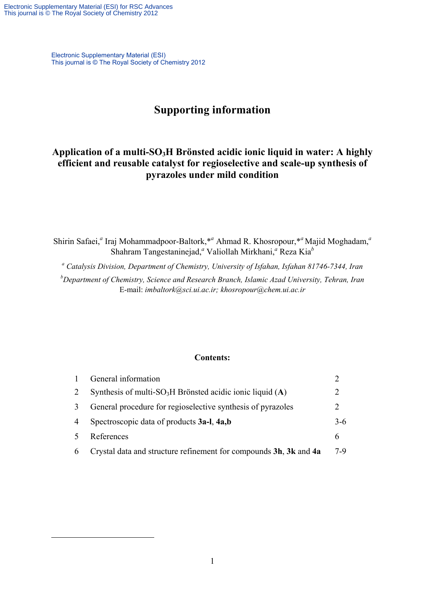1

Electronic Supplementary Material (ESI) This journal is © The Royal Society of Chemistry 2012

# **Supporting information**

## **Application of a multi-SO3H Brönsted acidic ionic liquid in water: A highly efficient and reusable catalyst for regioselective and scale-up synthesis of pyrazoles under mild condition**

Shirin Safaei,<sup>*a*</sup> Iraj Mohammadpoor-Baltork,<sup>\*</sup><sup>a</sup> Ahmad R. Khosropour,<sup>\**a*</sup> Majid Moghadam,<sup>*a*</sup> Shahram Tangestaninejad,*<sup>a</sup>* Valiollah Mirkhani,*<sup>a</sup>* Reza Kia*<sup>b</sup>*

*a Catalysis Division, Department of Chemistry, University of Isfahan, Isfahan 81746-7344, Iran* 

*b Department of Chemistry, Science and Research Branch, Islamic Azad University, Tehran, Iran*  E-mail: *imbaltork@sci.ui.ac.ir; khosropour@chem.ui.ac.ir* 

#### **Contents:**

| $\mathbf{1}$ | General information                                                     |                             |
|--------------|-------------------------------------------------------------------------|-----------------------------|
| 2            | Synthesis of multi-SO <sub>3</sub> H Brönsted acidic ionic liquid $(A)$ |                             |
| 3            | General procedure for regioselective synthesis of pyrazoles             | $\mathcal{D}_{\mathcal{L}}$ |
| 4            | Spectroscopic data of products 3a-l, 4a,b                               | $3-6$                       |
| 5            | References                                                              | 6                           |
| 6            | Crystal data and structure refinement for compounds 3h, 3k and 4a       | 7-9                         |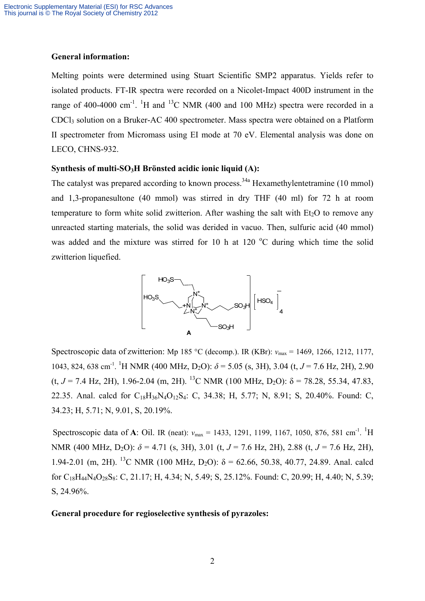#### **General information:**

Melting points were determined using Stuart Scientific SMP2 apparatus. Yields refer to isolated products. FT-IR spectra were recorded on a Nicolet-Impact 400D instrument in the range of 400-4000 cm<sup>-1</sup>. <sup>1</sup>H and <sup>13</sup>C NMR (400 and 100 MHz) spectra were recorded in a CDCl3 solution on a Bruker-AC 400 spectrometer. Mass spectra were obtained on a Platform II spectrometer from Micromass using EI mode at 70 eV. Elemental analysis was done on LECO, CHNS-932.

## Synthesis of multi-SO<sub>3</sub>H Brönsted acidic ionic liquid (A):

The catalyst was prepared according to known process.<sup>34a</sup> Hexamethylentetramine (10 mmol) and 1,3-propanesultone (40 mmol) was stirred in dry THF (40 ml) for 72 h at room temperature to form white solid zwitterion. After washing the salt with  $Et<sub>2</sub>O$  to remove any unreacted starting materials, the solid was derided in vacuo. Then, sulfuric acid (40 mmol) was added and the mixture was stirred for 10 h at 120  $^{\circ}$ C during which time the solid zwitterion liquefied.



Spectroscopic data of zwitterion: Mp 185 °C (decomp.). IR (KBr): *ν*<sub>max</sub> = 1469, 1266, 1212, 1177, 1043, 824, 638 cm-1. <sup>1</sup> H NMR (400 MHz, D2O): *δ* = 5.05 (s, 3H), 3.04 (t, *J* = 7.6 Hz, 2H), 2.90 (t,  $J = 7.4$  Hz, 2H), 1.96-2.04 (m, 2H), <sup>13</sup>C NMR (100 MHz, D<sub>2</sub>O):  $\delta = 78.28$ , 55.34, 47.83, 22.35. Anal. calcd for C<sub>18</sub>H<sub>36</sub>N<sub>4</sub>O<sub>12</sub>S<sub>4</sub>: C, 34.38; H, 5.77; N, 8.91; S, 20.40%. Found: C, 34.23; H, 5.71; N, 9.01, S, 20.19%.

Spectroscopic data of **A**: Oil. IR (neat):  $v_{\text{max}} = 1433, 1291, 1199, 1167, 1050, 876, 581 \text{ cm}^{-1}$ . <sup>1</sup>H NMR (400 MHz, D<sub>2</sub>O):  $δ = 4.71$  (s, 3H), 3.01 (t,  $J = 7.6$  Hz, 2H), 2.88 (t,  $J = 7.6$  Hz, 2H), 1.94-2.01 (m, 2H). <sup>13</sup>C NMR (100 MHz, D<sub>2</sub>O):  $\delta$  = 62.66, 50.38, 40.77, 24.89. Anal. calcd for  $C_{18}H_{44}N_4O_{28}S_8$ : C, 21.17; H, 4.34; N, 5.49; S, 25.12%. Found: C, 20.99; H, 4.40; N, 5.39; S, 24.96%.

#### **General procedure for regioselective synthesis of pyrazoles:**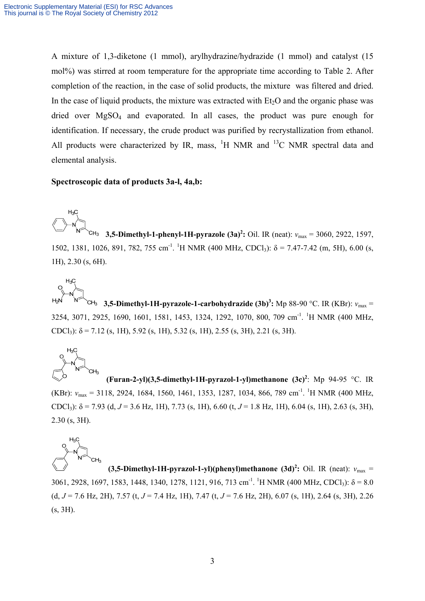A mixture of 1,3-diketone (1 mmol), arylhydrazine/hydrazide (1 mmol) and catalyst (15 mol%) was stirred at room temperature for the appropriate time according to Table 2. After completion of the reaction, in the case of solid products, the mixture was filtered and dried. In the case of liquid products, the mixture was extracted with  $Et<sub>2</sub>O$  and the organic phase was dried over  $MgSO<sub>4</sub>$  and evaporated. In all cases, the product was pure enough for identification. If necessary, the crude product was purified by recrystallization from ethanol. All products were characterized by IR, mass,  $^1H$  NMR and  $^{13}C$  NMR spectral data and elemental analysis.

#### **Spectroscopic data of products 3a-l, 4a,b:**

**3,5-Dimethyl-1-phenyl-1H-pyrazole**  $(3a)^2$ **:** Oil. IR (neat):  $v_{\text{max}} = 3060$ , 2922, 1597, 1502, 1381, 1026, 891, 782, 755 cm<sup>-1</sup>. <sup>1</sup>H NMR (400 MHz, CDCl<sub>3</sub>): δ = 7.47-7.42 (m, 5H), 6.00 (s, 1H), 2.30 (s, 6H).

**3,5-Dimethyl-1H-pyrazole-1-carbohydrazide**  $(3b)^3$ **:** Mp 88-90 °C. IR (KBr):  $v_{\text{max}} =$ 3254, 3071, 2925, 1690, 1601, 1581, 1453, 1324, 1292, 1070, 800, 709 cm<sup>-1</sup>. <sup>1</sup>H NMR (400 MHz, CDCl<sub>3</sub>):  $\delta$  = 7.12 (s, 1H), 5.92 (s, 1H), 5.32 (s, 1H), 2.55 (s, 3H), 2.21 (s, 3H).



 $H_3C$ 

**(Furan-2-yl)(3,5-dimethyl-1H-pyrazol-1-yl)methanone (3c)<sup>2</sup>** : Mp 94-95 °C. IR (KBr): *v*<sub>max</sub> = 3118, 2924, 1684, 1560, 1461, 1353, 1287, 1034, 866, 789 cm<sup>-1</sup>. <sup>1</sup>H NMR (400 MHz, CDCl<sub>3</sub>):  $\delta$  = 7.93 (d, *J* = 3.6 Hz, 1H), 7.73 (s, 1H), 6.60 (t, *J* = 1.8 Hz, 1H), 6.04 (s, 1H), 2.63 (s, 3H), 2.30 (s, 3H).



**(3,5-Dimethyl-1H-pyrazol-1-yl)(phenyl)methanone**  $(3d)^2$ **:** Oil. IR (neat):  $v_{\text{max}} =$ 3061, 2928, 1697, 1583, 1448, 1340, 1278, 1121, 916, 713 cm<sup>-1</sup>. <sup>1</sup>H NMR (400 MHz, CDCl<sub>3</sub>):  $\delta$  = 8.0 (d,  $J = 7.6$  Hz, 2H), 7.57 (t,  $J = 7.4$  Hz, 1H), 7.47 (t,  $J = 7.6$  Hz, 2H), 6.07 (s, 1H), 2.64 (s, 3H), 2.26 (s, 3H).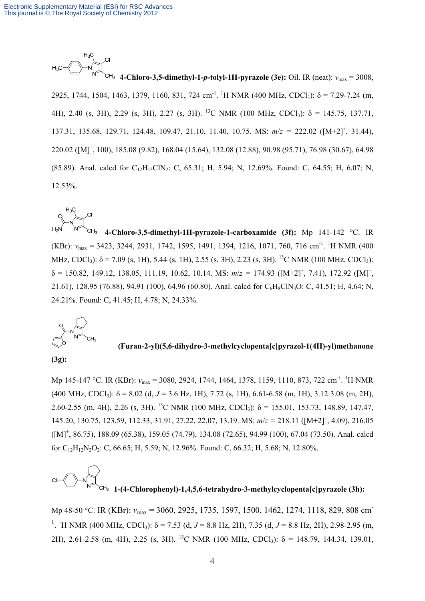

**4-Chloro-3,5-dimethyl-1-***p***-tolyl-1H-pyrazole (3e):** Oil. IR (neat): *ν*max = 3008, 2925, 1744, 1504, 1463, 1379, 1160, 831, 724 cm<sup>-1</sup>. <sup>1</sup>H NMR (400 MHz, CDCl<sub>3</sub>):  $\delta$  = 7.29-7.24 (m, 4H), 2.40 (s, 3H), 2.29 (s, 3H), 2.27 (s, 3H). <sup>13</sup>C NMR (100 MHz, CDCl<sub>3</sub>):  $\delta$  = 145.75, 137.71, 137.31, 135.68, 129.71, 124.48, 109.47, 21.10, 11.40, 10.75. MS: *m*/*z =* 222.02 ([M+2]+ , 31.44), 220.02 ([M]+ , 100), 185.08 (9.82), 168.04 (15.64), 132.08 (12.88), 90.98 (95.71), 76.98 (30.67), 64.98 (85.89). Anal. calcd for  $C_{12}H_{13}CIN_2$ : C, 65.31; H, 5.94; N, 12.69%. Found: C, 64.55; H, 6.07; N, 12.53%.

**4-Chloro-3,5-dimethyl-1H-pyrazole-1-carboxamide (3f):** Mp 141-142 °C. IR (KBr): *v*<sub>max</sub> = 3423, 3244, 2931, 1742, 1595, 1491, 1394, 1216, 1071, 760, 716 cm<sup>-1</sup>. <sup>1</sup>H NMR (400 MHz, CDCl<sub>3</sub>):  $\delta$  = 7.09 (s, 1H), 5.44 (s, 1H), 2.55 (s, 3H), 2.23 (s, 3H). <sup>13</sup>C NMR (100 MHz, CDCl<sub>3</sub>):  $\delta = 150.82, 149.12, 138.05, 111.19, 10.62, 10.14.$  MS:  $m/z = 174.93$  ([M+2]<sup>+</sup>, 7.41), 172.92 ([M]<sup>+</sup>, 21.61), 128.95 (76.88), 94.91 (100), 64.96 (60.80). Anal. calcd for C6H8ClN3O: C, 41.51; H, 4.64; N, 24.21%. Found: C, 41.45; H, 4.78; N, 24.33%.



**(Furan-2-yl)(5,6-dihydro-3-methylcyclopenta[c]pyrazol-1(4H)-yl)methanone** 

#### **(3g):**

Mp 145-147 °C. IR (KBr): *ν*<sub>max</sub> = 3080, 2924, 1744, 1464, 1378, 1159, 1110, 873, 722 cm<sup>-1</sup>. <sup>1</sup>H NMR (400 MHz, CDCl<sub>3</sub>):  $\delta$  = 8.02 (d, J = 3.6 Hz, 1H), 7.72 (s, 1H), 6.61-6.58 (m, 1H), 3.12 3.08 (m, 2H), 2.60-2.55 (m, 4H), 2.26 (s, 3H). <sup>13</sup>C NMR (100 MHz, CDCl<sub>3</sub>):  $\delta$  = 155.01, 153.73, 148.89, 147.47, 145.20, 130.75, 123.59, 112.33, 31.91, 27.22, 22.07, 13.19. MS:  $m/z = 218.11$  ( $[M+2]$ <sup>+</sup>, 4.09), 216.05 ([M]+ , 86.75), 188.09 (65.38), 159.05 (74.79), 134.08 (72.65), 94.99 (100), 67.04 (73.50). Anal. calcd for  $C_{12}H_{12}N_2O_2$ : C, 66.65; H, 5.59; N, 12.96%. Found: C, 66.32; H, 5.68; N, 12.80%.

 **1-(4-Chlorophenyl)-1,4,5,6-tetrahydro-3-methylcyclopenta[c]pyrazole (3h):**

Mp 48-50 °C. IR (KBr): *ν*max = 3060, 2925, 1735, 1597, 1500, 1462, 1274, 1118, 829, 808 cm-<sup>1</sup>. <sup>1</sup>H NMR (400 MHz, CDCl<sub>3</sub>):  $\delta$  = 7.53 (d, *J* = 8.8 Hz, 2H), 7.35 (d, *J* = 8.8 Hz, 2H), 2.98-2.95 (m, 2H), 2.61-2.58 (m, 4H), 2.25 (s, 3H). <sup>13</sup>C NMR (100 MHz, CDCl<sub>3</sub>):  $\delta$  = 148.79, 144.34, 139.01,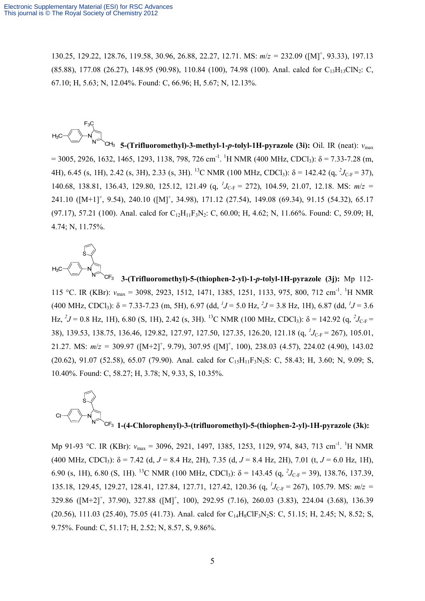130.25, 129.22, 128.76, 119.58, 30.96, 26.88, 22.27, 12.71. MS: *m*/*z =* 232.09 ([M]+ , 93.33), 197.13  $(85.88)$ , 177.08 (26.27), 148.95 (90.98), 110.84 (100), 74.98 (100). Anal. calcd for C<sub>13</sub>H<sub>13</sub>ClN<sub>2</sub>: C, 67.10; H, 5.63; N, 12.04%. Found: C, 66.96; H, 5.67; N, 12.13%.

**5-(Trifluoromethyl)-3-methyl-1-***p***-tolyl-1H-pyrazole (3i):** Oil. IR (neat): *ν*max  $= 3005, 2926, 1632, 1465, 1293, 1138, 798, 726$  cm<sup>-1</sup>. <sup>1</sup>H NMR (400 MHz, CDCl<sub>3</sub>):  $\delta = 7.33$ -7.28 (m, 4H), 6.45 (s, 1H), 2.42 (s, 3H), 2.33 (s, 3H). <sup>13</sup>C NMR (100 MHz, CDCl<sub>3</sub>): δ = 142.42 (q, <sup>2</sup>J<sub>C-F</sub> = 37), 140.68, 138.81, 136.43, 129.80, 125.12, 121.49 (q, <sup>1</sup>J<sub>C-F</sub> = 272), 104.59, 21.07, 12.18. MS:  $m/z =$ 241.10 ( $[M+1]^+$ , 9.54), 240.10 ( $[M]^+$ , 34.98), 171.12 (27.54), 149.08 (69.34), 91.15 (54.32), 65.17 (97.17), 57.21 (100). Anal. calcd for  $C_{12}H_{11}F_3N_2$ : C, 60.00; H, 4.62; N, 11.66%. Found: C, 59.09; H, 4.74; N, 11.75%.



 **3-(Trifluoromethyl)-5-(thiophen-2-yl)-1-***p***-tolyl-1H-pyrazole (3j):** Mp 112- 115 °C. IR (KBr):  $v_{\text{max}} = 3098, 2923, 1512, 1471, 1385, 1251, 1133, 975, 800, 712 \text{ cm}^{-1}$ . <sup>1</sup>H NMR (400 MHz, CDCl<sub>3</sub>):  $\delta$  = 7.33-7.23 (m, 5H), 6.97 (dd, <sup>1</sup>J = 5.0 Hz, <sup>2</sup>J = 3.8 Hz, 1H), 6.87 (dd, <sup>1</sup>J = 3.6 Hz, <sup>2</sup>J = 0.8 Hz, 1H), 6.80 (S, 1H), 2.42 (s, 3H). <sup>13</sup>C NMR (100 MHz, CDCl<sub>3</sub>): δ = 142.92 (q, <sup>2</sup>J<sub>C-F</sub> = 38), 139.53, 138.75, 136.46, 129.82, 127.97, 127.50, 127.35, 126.20, 121.18 (q, <sup>*I*</sup>J<sub>C-F</sub> = 267), 105.01, 21.27. MS:  $m/z = 309.97$  ( $[M+2]^+$ , 9.79), 307.95 ( $[M]^+$ , 100), 238.03 (4.57), 224.02 (4.90), 143.02 (20.62), 91.07 (52.58), 65.07 (79.90). Anal. calcd for  $C_{15}H_{11}F_3N_2S$ : C, 58.43; H, 3.60; N, 9.09; S, 10.40%. Found: C, 58.27; H, 3.78; N, 9.33, S, 10.35%.

**1-(4-Chlorophenyl)-3-(trifluoromethyl)-5-(thiophen-2-yl)-1H-pyrazole (3k):**

Mp 91-93 °C. IR (KBr):  $v_{\text{max}} = 3096, 2921, 1497, 1385, 1253, 1129, 974, 843, 713 \text{ cm}^{-1}$ . <sup>1</sup>H NMR (400 MHz, CDCl<sub>3</sub>):  $\delta$  = 7.42 (d, *J* = 8.4 Hz, 2H), 7.35 (d, *J* = 8.4 Hz, 2H), 7.01 (t, *J* = 6.0 Hz, 1H), 6.90 (s, 1H), 6.80 (S, 1H). <sup>13</sup>C NMR (100 MHz, CDCl<sub>3</sub>):  $\delta$  = 143.45 (q, <sup>2</sup>*J*<sub>C-F</sub> = 39), 138.76, 137.39, 135.18, 129.45, 129.27, 128.41, 127.84, 127.71, 127.42, 120.36 (q, <sup>*I*</sup>J<sub>C-F</sub> = 267), 105.79. MS:  $m/z =$ 329.86 ([M+2]+ , 37.90), 327.88 ([M]+ , 100), 292.95 (7.16), 260.03 (3.83), 224.04 (3.68), 136.39  $(20.56)$ , 111.03 (25.40), 75.05 (41.73). Anal. calcd for C<sub>14</sub>H<sub>8</sub>ClF<sub>3</sub>N<sub>2</sub>S: C, 51.15; H, 2.45; N, 8.52; S, 9.75%. Found: C, 51.17; H, 2.52; N, 8.57, S, 9.86%.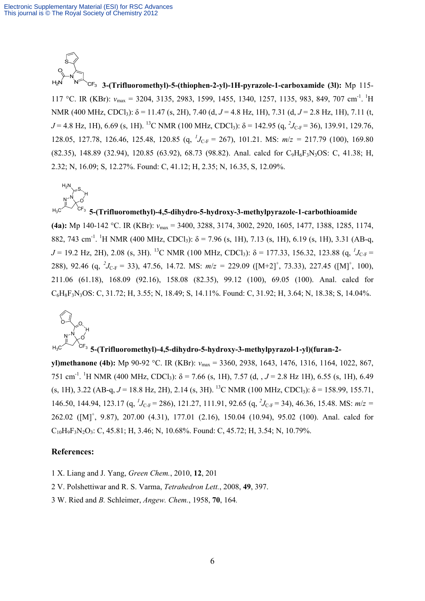

 $H_2N$ 

**3-(Trifluoromethyl)-5-(thiophen-2-yl)-1H-pyrazole-1-carboxamide (3l):** Mp 115- 117 °C. IR (KBr):  $v_{\text{max}} = 3204, 3135, 2983, 1599, 1455, 1340, 1257, 1135, 983, 849, 707 \text{ cm}^{-1}$ . <sup>1</sup>H NMR (400 MHz, CDCl<sub>3</sub>): δ = 11.47 (s, 2H), 7.40 (d, *J* = 4.8 Hz, 1H), 7.31 (d, *J* = 2.8 Hz, 1H), 7.11 (t,  $J = 4.8$  Hz, 1H), 6.69 (s, 1H). <sup>13</sup>C NMR (100 MHz, CDCl<sub>3</sub>):  $\delta = 142.95$  (q, <sup>2</sup> $J_{\text{C-F}} = 36$ ), 139.91, 129.76, 128.05, 127.78, 126.46, 125.48, 120.85 (q, *<sup>1</sup> J*C-F = 267), 101.21. MS: *m*/*z =* 217.79 (100), 169.80  $(82.35)$ , 148.89 (32.94), 120.85 (63.92), 68.73 (98.82). Anal. calcd for  $C_9H_6F_3N_3OS$ : C, 41.38; H, 2.32; N, 16.09; S, 12.27%. Found: C, 41.12; H, 2.35; N, 16.35, S, 12.09%.

 $N^{-N}$  $_{\rm H_3C}$  CF<sub>3</sub> O S H **5-(Trifluoromethyl)-4,5-dihydro-5-hydroxy-3-methylpyrazole-1-carbothioamide (4a):** Mp 140-142 °C. IR (KBr): *ν*max = 3400, 3288, 3174, 3002, 2920, 1605, 1477, 1388, 1285, 1174, 882, 743 cm<sup>-1</sup>. <sup>1</sup>H NMR (400 MHz, CDCl<sub>3</sub>):  $\delta$  = 7.96 (s, 1H), 7.13 (s, 1H), 6.19 (s, 1H), 3.31 (AB-q,  $J = 19.2$  Hz, 2H), 2.08 (s, 3H). <sup>13</sup>C NMR (100 MHz, CDCl<sub>3</sub>):  $\delta = 177.33$ , 156.32, 123.88 (q, <sup>*1*</sup><sub>C-F</sub> = 288), 92.46 (q,  $^2J_{\text{C-F}}$  = 33), 47.56, 14.72. MS:  $m/z = 229.09$  ([M+2]<sup>+</sup>, 73.33), 227.45 ([M]<sup>+</sup>, 100), 211.06 (61.18), 168.09 (92.16), 158.08 (82.35), 99.12 (100), 69.05 (100). Anal. calcd for C6H8F3N3OS: C, 31.72; H, 3.55; N, 18.49; S, 14.11%. Found: C, 31.92; H, 3.64; N, 18.38; S, 14.04%.



## **5-(Trifluoromethyl)-4,5-dihydro-5-hydroxy-3-methylpyrazol-1-yl)(furan-2-**

**yl)methanone (4b):** Mp 90-92 °C. IR (KBr): *ν*max = 3360, 2938, 1643, 1476, 1316, 1164, 1022, 867, 751 cm<sup>-1</sup>. <sup>1</sup>H NMR (400 MHz, CDCl<sub>3</sub>): δ = 7.66 (s, 1H), 7.57 (d, , J = 2.8 Hz 1H), 6.55 (s, 1H), 6.49 (s, 1H), 3.22 (AB-q,  $J = 18.8$  Hz, 2H), 2.14 (s, 3H). <sup>13</sup>C NMR (100 MHz, CDCl<sub>3</sub>):  $\delta = 158.99$ , 155.71, 146.50, 144.94, 123.17 (q,  $^{1}J_{C-F} = 286$ ), 121.27, 111.91, 92.65 (q,  $^{2}J_{C-F} = 34$ ), 46.36, 15.48. MS:  $m/z =$ 262.02 ([M]+ , 9.87), 207.00 (4.31), 177.01 (2.16), 150.04 (10.94), 95.02 (100). Anal. calcd for  $C_{10}H_9F_3N_2O_3$ : C, 45.81; H, 3.46; N, 10.68%. Found: C, 45.72; H, 3.54; N, 10.79%.

#### **References:**

1 X. Liang and J. Yang, *Green Chem.*, 2010, **12**, 201

- 2 V. Polshettiwar and R. S. Varma, *Tetrahedron Lett.*, 2008, **49**, 397.
- 3 W. Ried and *B.* Schleimer, *Angew. Chem.*, 1958, **70**, 164*.*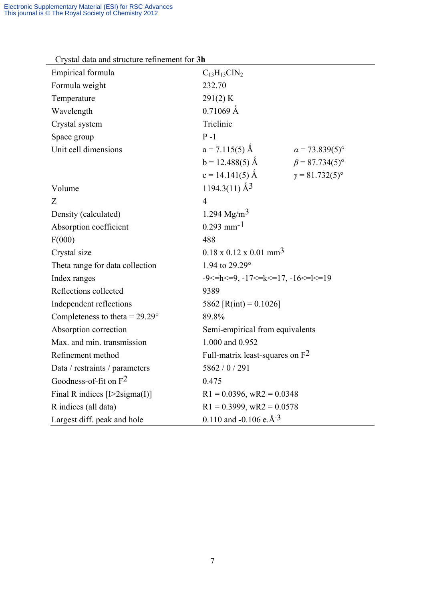| Crystal data and structure refinement for <b>Sh</b><br>Empirical formula | $C_{13}H_{13}ClN_2$                            |                              |  |
|--------------------------------------------------------------------------|------------------------------------------------|------------------------------|--|
| Formula weight                                                           | 232.70                                         |                              |  |
| Temperature                                                              | 291(2) K                                       |                              |  |
| Wavelength                                                               | $0.71069$ Å                                    |                              |  |
| Crystal system                                                           | Triclinic                                      |                              |  |
| Space group                                                              | $P-1$                                          |                              |  |
| Unit cell dimensions                                                     | $a = 7.115(5)$ Å                               | $\alpha = 73.839(5)^{\circ}$ |  |
|                                                                          | $b = 12.488(5)$ Å                              | $\beta$ = 87.734(5)°         |  |
|                                                                          | $c = 14.141(5)$ Å                              | $y = 81.732(5)$ °            |  |
|                                                                          | $1194.3(11)$ $\AA$ <sup>3</sup>                |                              |  |
| Volume                                                                   |                                                |                              |  |
| Z                                                                        | $\overline{4}$                                 |                              |  |
| Density (calculated)                                                     | 1.294 $Mg/m3$                                  |                              |  |
| Absorption coefficient                                                   | $0.293$ mm <sup>-1</sup>                       |                              |  |
| F(000)                                                                   | 488                                            |                              |  |
| Crystal size                                                             | $0.18 \times 0.12 \times 0.01$ mm <sup>3</sup> |                              |  |
| Theta range for data collection                                          | 1.94 to 29.29°                                 |                              |  |
| Index ranges                                                             | $-9 < = h < 9, -17 < = k < 17, -16 < = k < 19$ |                              |  |
| Reflections collected                                                    | 9389                                           |                              |  |
| Independent reflections                                                  | 5862 [R(int) = $0.1026$ ]                      |                              |  |
| Completeness to theta = $29.29^{\circ}$                                  | 89.8%                                          |                              |  |
| Absorption correction                                                    | Semi-empirical from equivalents                |                              |  |
| Max. and min. transmission                                               | 1.000 and 0.952                                |                              |  |
| Refinement method                                                        | Full-matrix least-squares on $F^2$             |                              |  |
| Data / restraints / parameters                                           | 5862 / 0 / 291                                 |                              |  |
| Goodness-of-fit on $F^2$                                                 | 0.475                                          |                              |  |
| Final R indices $[I>2$ sigma $(I)]$                                      | $R1 = 0.0396$ , wR2 = 0.0348                   |                              |  |
| R indices (all data)                                                     | $R1 = 0.3999$ , wR2 = 0.0578                   |                              |  |
| Largest diff. peak and hole                                              | 0.110 and -0.106 e. $\AA$ <sup>-3</sup>        |                              |  |

Crystal data and structure refinement for **3h**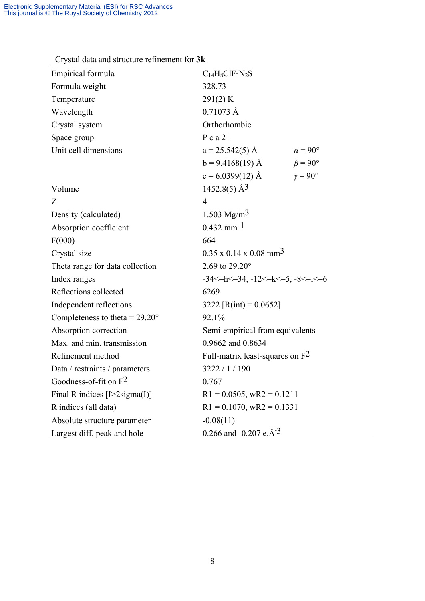| but aan and bu dollar romfomont for one |                                                           |  |  |  |  |
|-----------------------------------------|-----------------------------------------------------------|--|--|--|--|
| Empirical formula                       | $C_{14}H_8ClF_3N_2S$                                      |  |  |  |  |
| Formula weight                          | 328.73                                                    |  |  |  |  |
| Temperature                             | 291(2) K                                                  |  |  |  |  |
| Wavelength                              | $0.71073 \text{ Å}$                                       |  |  |  |  |
| Crystal system                          | Orthorhombic                                              |  |  |  |  |
| Space group                             | $P$ c a 21                                                |  |  |  |  |
| Unit cell dimensions                    | $a = 25.542(5)$ Å<br>$\alpha = 90^{\circ}$                |  |  |  |  |
|                                         | $\beta = 90^{\circ}$<br>$b = 9.4168(19)$ Å                |  |  |  |  |
|                                         | $\gamma = 90^{\circ}$<br>$c = 6.0399(12)$ Å               |  |  |  |  |
| Volume                                  | $1452.8(5)$ Å <sup>3</sup>                                |  |  |  |  |
| Z                                       | $\overline{4}$                                            |  |  |  |  |
| Density (calculated)                    | 1.503 Mg/m <sup>3</sup>                                   |  |  |  |  |
| Absorption coefficient                  | $0.432$ mm <sup>-1</sup>                                  |  |  |  |  |
| F(000)                                  | 664                                                       |  |  |  |  |
| Crystal size                            | $0.35 \times 0.14 \times 0.08$ mm <sup>3</sup>            |  |  |  |  |
| Theta range for data collection         | 2.69 to 29.20°                                            |  |  |  |  |
| Index ranges                            | $-34 \le h \le 34$ , $-12 \le k \le 5$ , $-8 \le k \le 6$ |  |  |  |  |
| Reflections collected                   | 6269                                                      |  |  |  |  |
| Independent reflections                 | 3222 [R(int) = $0.0652$ ]                                 |  |  |  |  |
| Completeness to theta = $29.20^{\circ}$ | 92.1%                                                     |  |  |  |  |
| Absorption correction                   | Semi-empirical from equivalents                           |  |  |  |  |
| Max. and min. transmission              | 0.9662 and 0.8634                                         |  |  |  |  |
| Refinement method                       | Full-matrix least-squares on $F^2$                        |  |  |  |  |
| Data / restraints / parameters          | 3222 / 1 / 190                                            |  |  |  |  |
| Goodness-of-fit on $F^2$                | 0.767                                                     |  |  |  |  |
| Final R indices $[I>2$ sigma $(I)$ ]    | $R1 = 0.0505$ , wR2 = 0.1211                              |  |  |  |  |
| R indices (all data)                    | $R1 = 0.1070$ , wR2 = 0.1331                              |  |  |  |  |
| Absolute structure parameter            | $-0.08(11)$                                               |  |  |  |  |
| Largest diff. peak and hole             | 0.266 and -0.207 e. $\AA$ <sup>-3</sup>                   |  |  |  |  |

## Crystal data and structure refinement for **3k**